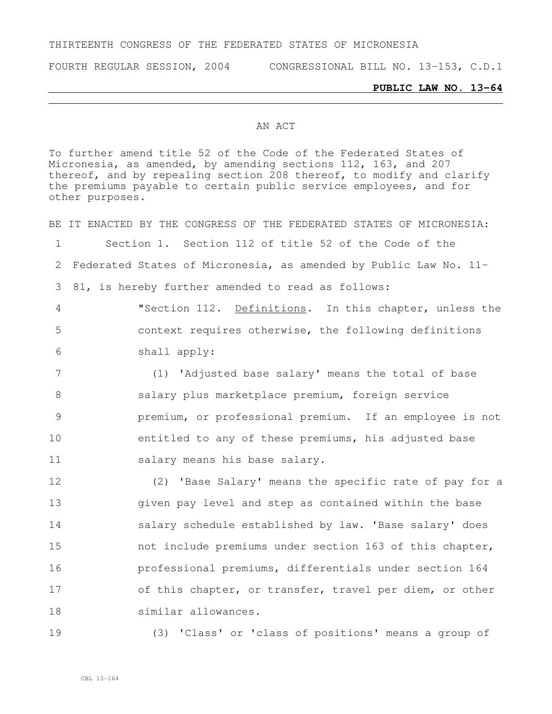### THIRTEENTH CONGRESS OF THE FEDERATED STATES OF MICRONESIA

FOURTH REGULAR SESSION, 2004 CONGRESSIONAL BILL NO. 13-153, C.D.1

#### **PUBLIC LAW NO. 13-64**

#### AN ACT

To further amend title 52 of the Code of the Federated States of Micronesia, as amended, by amending sections 112, 163, and 207 thereof, and by repealing section 208 thereof, to modify and clarify the premiums payable to certain public service employees, and for other purposes.

BE IT ENACTED BY THE CONGRESS OF THE FEDERATED STATES OF MICRONESIA: Section 1. Section 112 of title 52 of the Code of the Federated States of Micronesia, as amended by Public Law No. 11- 81, is hereby further amended to read as follows: "Section 112. Definitions. In this chapter, unless the context requires otherwise, the following definitions shall apply: (1) 'Adjusted base salary' means the total of base 8 salary plus marketplace premium, foreign service premium, or professional premium. If an employee is not entitled to any of these premiums, his adjusted base 11 salary means his base salary. (2) 'Base Salary' means the specific rate of pay for a given pay level and step as contained within the base **Salary schedule established by law. 'Base salary' does**  not include premiums under section 163 of this chapter, professional premiums, differentials under section 164 of this chapter, or transfer, travel per diem, or other similar allowances.

19 (3) 'Class' or 'class of positions' means a group of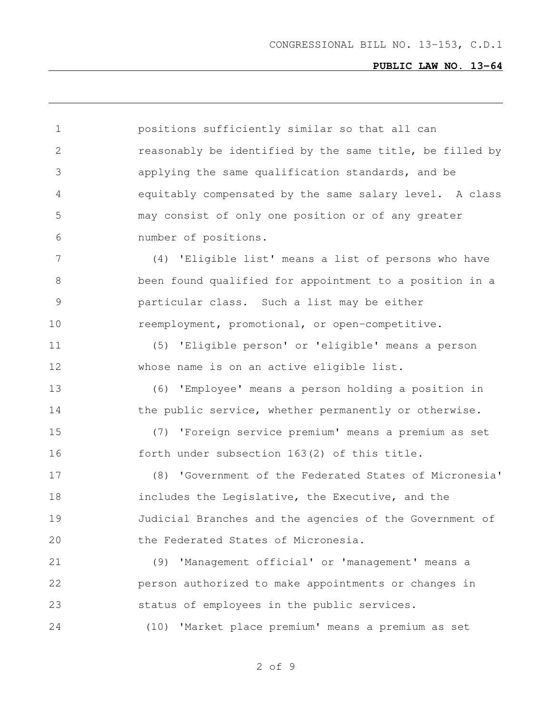positions sufficiently similar so that all can reasonably be identified by the same title, be filled by applying the same qualification standards, and be equitably compensated by the same salary level. A class may consist of only one position or of any greater number of positions. (4) 'Eligible list' means a list of persons who have been found qualified for appointment to a position in a particular class. Such a list may be either 10 reemployment, promotional, or open-competitive. (5) 'Eligible person' or 'eligible' means a person whose name is on an active eligible list. (6) 'Employee' means a person holding a position in 14 the public service, whether permanently or otherwise. (7) 'Foreign service premium' means a premium as set forth under subsection 163(2) of this title. (8) 'Government of the Federated States of Micronesia' includes the Legislative, the Executive, and the Judicial Branches and the agencies of the Government of the Federated States of Micronesia. (9) 'Management official' or 'management' means a person authorized to make appointments or changes in status of employees in the public services. (10) 'Market place premium' means a premium as set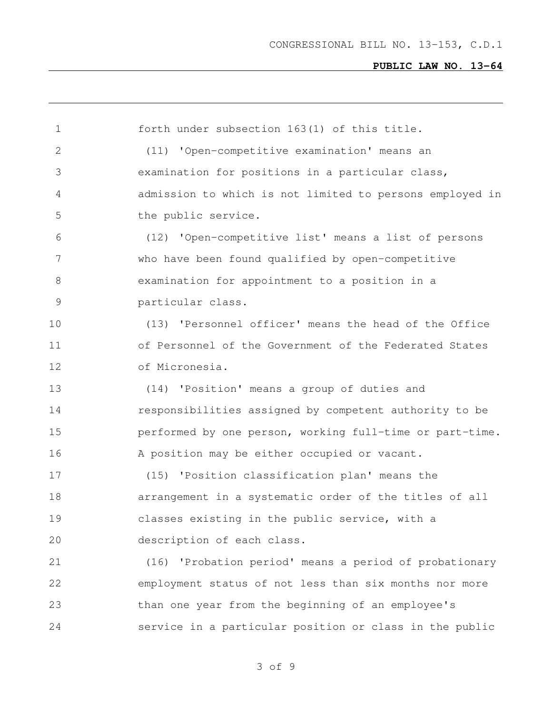forth under subsection 163(1) of this title. (11) 'Open-competitive examination' means an examination for positions in a particular class, admission to which is not limited to persons employed in the public service. (12) 'Open-competitive list' means a list of persons who have been found qualified by open-competitive examination for appointment to a position in a particular class. (13) 'Personnel officer' means the head of the Office 11 of Personnel of the Government of the Federated States of Micronesia. (14) 'Position' means a group of duties and **responsibilities assigned by competent authority to be**  performed by one person, working full-time or part-time. A position may be either occupied or vacant. (15) 'Position classification plan' means the arrangement in a systematic order of the titles of all classes existing in the public service, with a description of each class. (16) 'Probation period' means a period of probationary employment status of not less than six months nor more than one year from the beginning of an employee's service in a particular position or class in the public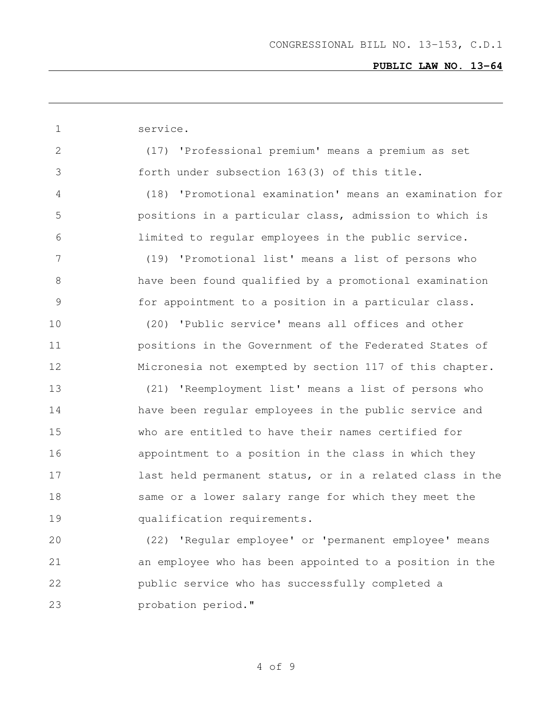| $\mathbf{1}$ | service.                                                   |
|--------------|------------------------------------------------------------|
| 2            | (17) 'Professional premium' means a premium as set         |
| 3            | forth under subsection 163(3) of this title.               |
| 4            | 'Promotional examination' means an examination for<br>(18) |
| 5            | positions in a particular class, admission to which is     |
| 6            | limited to regular employees in the public service.        |
| 7            | 'Promotional list' means a list of persons who<br>(19)     |
| 8            | have been found qualified by a promotional examination     |
| 9            | for appointment to a position in a particular class.       |
| 10           | 'Public service' means all offices and other<br>(20)       |
| 11           | positions in the Government of the Federated States of     |
| 12           | Micronesia not exempted by section 117 of this chapter.    |
| 13           | 'Reemployment list' means a list of persons who<br>(21)    |
| 14           | have been regular employees in the public service and      |
| 15           | who are entitled to have their names certified for         |
| 16           | appointment to a position in the class in which they       |
| 17           | last held permanent status, or in a related class in the   |
| 18           | same or a lower salary range for which they meet the       |
| 19           | qualification requirements.                                |
| 20           | (22) 'Regular employee' or 'permanent employee' means      |
| 21           | an employee who has been appointed to a position in the    |
| 22           | public service who has successfully completed a            |
| 23           | probation period."                                         |
|              |                                                            |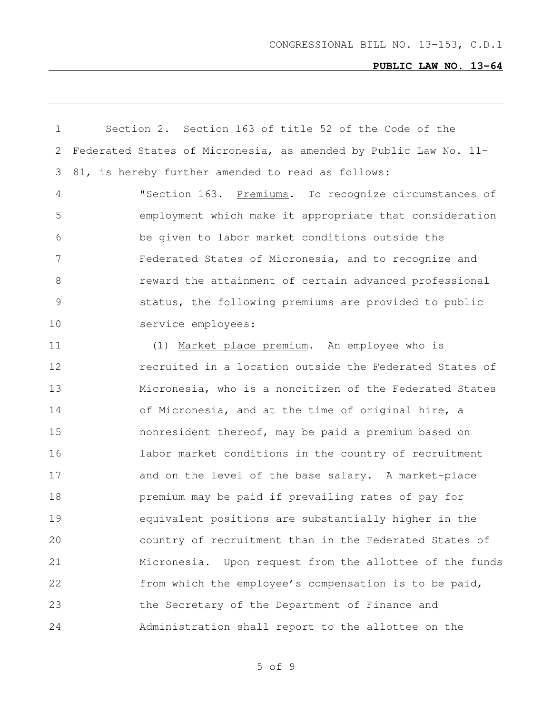| $\mathbf 1$    | Section 2. Section 163 of title 52 of the Code of the            |
|----------------|------------------------------------------------------------------|
| 2              | Federated States of Micronesia, as amended by Public Law No. 11- |
| 3              | 81, is hereby further amended to read as follows:                |
| 4              | "Section 163. Premiums. To recognize circumstances of            |
| 5              | employment which make it appropriate that consideration          |
| 6              | be given to labor market conditions outside the                  |
| $\overline{7}$ | Federated States of Micronesia, and to recognize and             |
| 8              | reward the attainment of certain advanced professional           |
| $\mathsf 9$    | status, the following premiums are provided to public            |
| 10             | service employees:                                               |
| 11             | (1) Market place premium. An employee who is                     |
| 12             | recruited in a location outside the Federated States of          |
| 13             | Micronesia, who is a noncitizen of the Federated States          |
| 14             | of Micronesia, and at the time of original hire, a               |
| 15             | nonresident thereof, may be paid a premium based on              |
| 16             | labor market conditions in the country of recruitment            |
| 17             | and on the level of the base salary. A market-place              |
| 18             | premium may be paid if prevailing rates of pay for               |
| 19             | equivalent positions are substantially higher in the             |
| 20             | country of recruitment than in the Federated States of           |
| 21             | Upon request from the allottee of the funds<br>Micronesia.       |
| 22             | from which the employee's compensation is to be paid,            |
| 23             | the Secretary of the Department of Finance and                   |
| 24             | Administration shall report to the allottee on the               |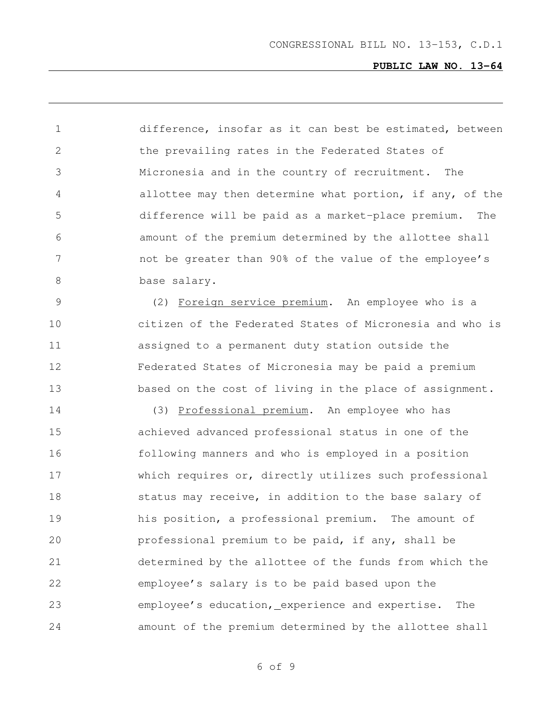difference, insofar as it can best be estimated, between 2 the prevailing rates in the Federated States of Micronesia and in the country of recruitment. The allottee may then determine what portion, if any, of the difference will be paid as a market-place premium. The amount of the premium determined by the allottee shall not be greater than 90% of the value of the employee's 8 base salary. (2) Foreign service premium. An employee who is a citizen of the Federated States of Micronesia and who is assigned to a permanent duty station outside the Federated States of Micronesia may be paid a premium 13 based on the cost of living in the place of assignment.

 (3) Professional premium. An employee who has achieved advanced professional status in one of the following manners and who is employed in a position which requires or, directly utilizes such professional 18 status may receive, in addition to the base salary of his position, a professional premium. The amount of professional premium to be paid, if any, shall be determined by the allottee of the funds from which the employee's salary is to be paid based upon the employee's education, experience and expertise. The amount of the premium determined by the allottee shall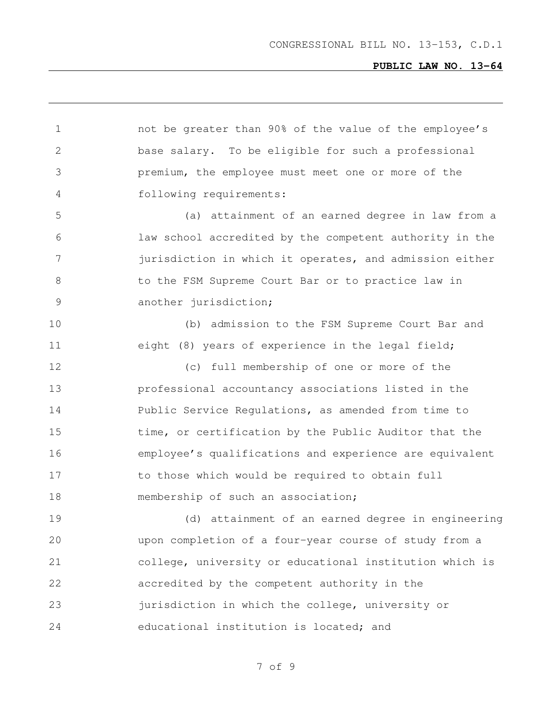| $\mathbf 1$     | not be greater than 90% of the value of the employee's  |
|-----------------|---------------------------------------------------------|
| $\mathbf{2}$    | base salary. To be eligible for such a professional     |
| 3               | premium, the employee must meet one or more of the      |
| 4               | following requirements:                                 |
| 5               | (a) attainment of an earned degree in law from a        |
| 6               | law school accredited by the competent authority in the |
| $7\phantom{.0}$ | jurisdiction in which it operates, and admission either |
| 8               | to the FSM Supreme Court Bar or to practice law in      |
| 9               | another jurisdiction;                                   |
| 10              | (b) admission to the FSM Supreme Court Bar and          |
| 11              | eight (8) years of experience in the legal field;       |
| 12              | (c) full membership of one or more of the               |
| 13              | professional accountancy associations listed in the     |
| 14              | Public Service Regulations, as amended from time to     |
| 15              | time, or certification by the Public Auditor that the   |
| 16              | employee's qualifications and experience are equivalent |
| 17              | to those which would be required to obtain full         |
| 18              | membership of such an association;                      |
| 19              | attainment of an earned degree in engineering<br>(d)    |
| 20              | upon completion of a four-year course of study from a   |
| 21              | college, university or educational institution which is |
| 22              | accredited by the competent authority in the            |
| 23              | jurisdiction in which the college, university or        |
| 24              | educational institution is located; and                 |
|                 |                                                         |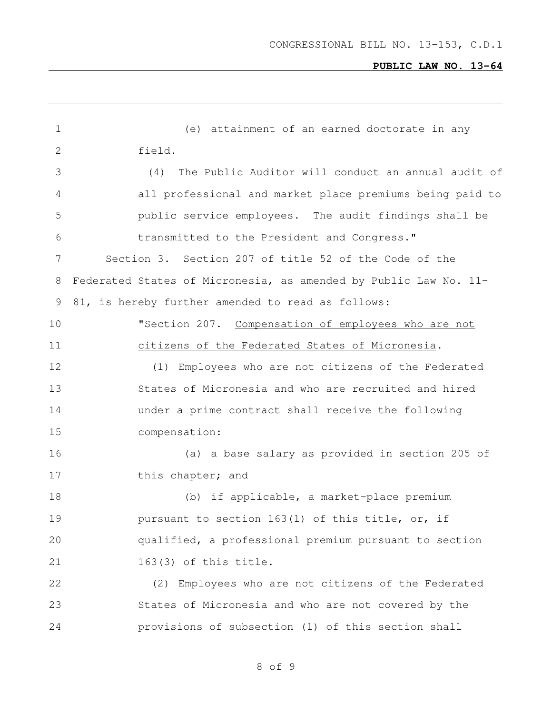| $\mathbf 1$ | (e) attainment of an earned doctorate in any                     |
|-------------|------------------------------------------------------------------|
| 2           | field.                                                           |
| 3           | The Public Auditor will conduct an annual audit of<br>(4)        |
| 4           | all professional and market place premiums being paid to         |
| 5           | public service employees. The audit findings shall be            |
| 6           | transmitted to the President and Congress."                      |
| 7           | Section 3. Section 207 of title 52 of the Code of the            |
| 8           | Federated States of Micronesia, as amended by Public Law No. 11- |
| 9           | 81, is hereby further amended to read as follows:                |
| 10          | "Section 207. Compensation of employees who are not              |
| 11          | citizens of the Federated States of Micronesia.                  |
| 12          | (1) Employees who are not citizens of the Federated              |
| 13          | States of Micronesia and who are recruited and hired             |
| 14          | under a prime contract shall receive the following               |
| 15          | compensation:                                                    |
| 16          | (a) a base salary as provided in section 205 of                  |
| 17          | this chapter; and                                                |
| 18          | (b) if applicable, a market-place premium                        |
| 19          | pursuant to section 163(1) of this title, or, if                 |
| 20          | qualified, a professional premium pursuant to section            |
| 21          | 163(3) of this title.                                            |
| 22          | (2) Employees who are not citizens of the Federated              |
| 23          | States of Micronesia and who are not covered by the              |
| 24          | provisions of subsection (1) of this section shall               |
|             |                                                                  |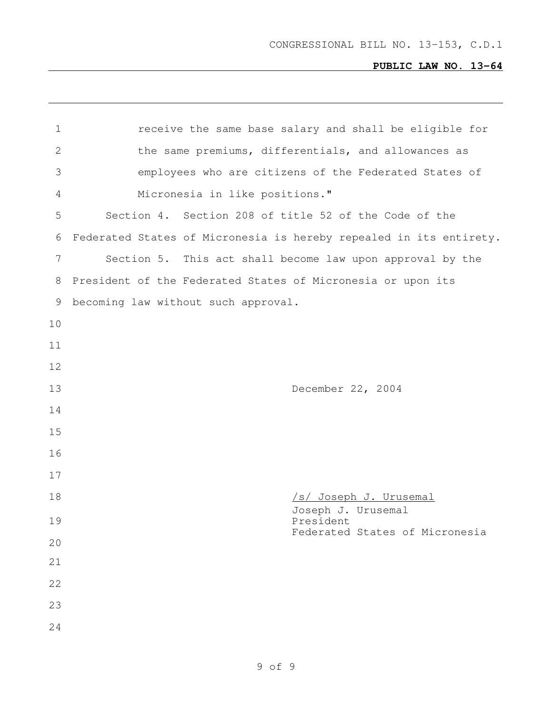| $\mathbf 1$  | receive the same base salary and shall be eligible for             |  |  |  |  |  |  |
|--------------|--------------------------------------------------------------------|--|--|--|--|--|--|
| $\mathbf{2}$ | the same premiums, differentials, and allowances as                |  |  |  |  |  |  |
| 3            | employees who are citizens of the Federated States of              |  |  |  |  |  |  |
| 4            | Micronesia in like positions."                                     |  |  |  |  |  |  |
| 5            | Section 4. Section 208 of title 52 of the Code of the              |  |  |  |  |  |  |
| 6            | Federated States of Micronesia is hereby repealed in its entirety. |  |  |  |  |  |  |
| 7            | Section 5. This act shall become law upon approval by the          |  |  |  |  |  |  |
| 8            | President of the Federated States of Micronesia or upon its        |  |  |  |  |  |  |
| 9            | becoming law without such approval.                                |  |  |  |  |  |  |
| 10           |                                                                    |  |  |  |  |  |  |
| 11           |                                                                    |  |  |  |  |  |  |
| 12           |                                                                    |  |  |  |  |  |  |
| 13           | December 22, 2004                                                  |  |  |  |  |  |  |
| 14           |                                                                    |  |  |  |  |  |  |
| 15           |                                                                    |  |  |  |  |  |  |
| 16           |                                                                    |  |  |  |  |  |  |
| 17           |                                                                    |  |  |  |  |  |  |
| 18           | /s/ Joseph J. Urusemal                                             |  |  |  |  |  |  |
| 19           | Joseph J. Urusemal<br>President                                    |  |  |  |  |  |  |
| 20           | Federated States of Micronesia                                     |  |  |  |  |  |  |
| 21           |                                                                    |  |  |  |  |  |  |
| 22           |                                                                    |  |  |  |  |  |  |
| 23           |                                                                    |  |  |  |  |  |  |
| 24           |                                                                    |  |  |  |  |  |  |